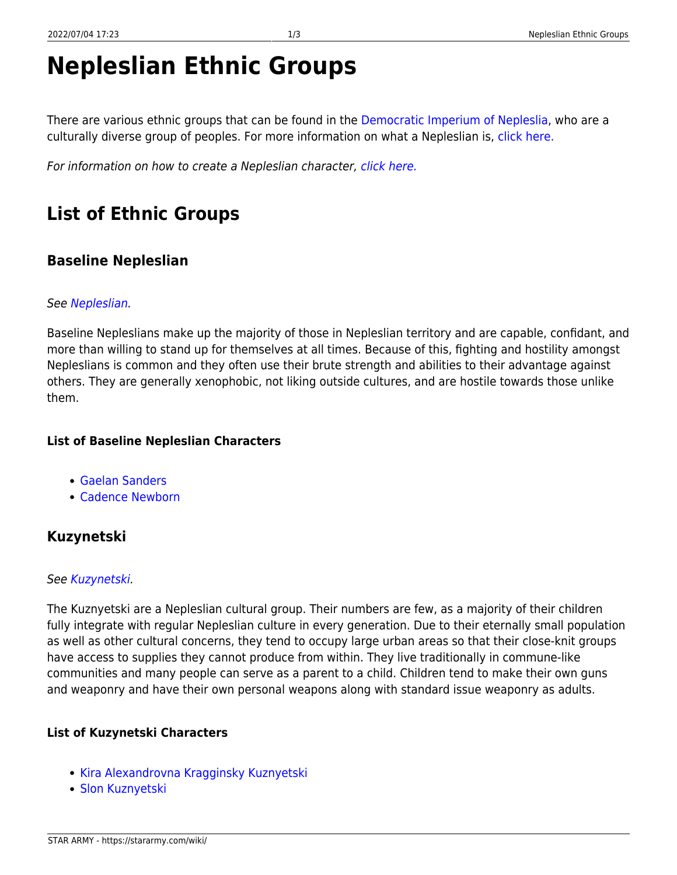# **Nepleslian Ethnic Groups**

There are various ethnic groups that can be found in the [Democratic Imperium of Nepleslia,](https://stararmy.com/wiki/doku.php?id=faction:democratic_imperium_of_nepleslia) who are a culturally diverse group of peoples. For more information on what a Nepleslian is, [click here.](https://stararmy.com/wiki/doku.php?id=species:nepleslian)

For information on how to create a Nepleslian character, [click here.](https://stararmy.com/wiki/doku.php?id=guide:nepleslians)

# **List of Ethnic Groups**

### **Baseline Nepleslian**

#### See [Nepleslian.](https://stararmy.com/wiki/doku.php?id=species:nepleslian)

Baseline Nepleslians make up the majority of those in Nepleslian territory and are capable, confidant, and more than willing to stand up for themselves at all times. Because of this, fighting and hostility amongst Nepleslians is common and they often use their brute strength and abilities to their advantage against others. They are generally xenophobic, not liking outside cultures, and are hostile towards those unlike them.

#### **List of Baseline Nepleslian Characters**

- [Gaelan Sanders](https://stararmy.com/wiki/doku.php?id=character:sanders_gaelan)
- [Cadence Newborn](https://stararmy.com/wiki/doku.php?id=character:cadence_newborn)

### **Kuzynetski**

#### See [Kuzynetski.](https://stararmy.com/wiki/doku.php?id=faction:nepleslia:culture:kuznyetski)

The Kuznyetski are a Nepleslian cultural group. Their numbers are few, as a majority of their children fully integrate with regular Nepleslian culture in every generation. Due to their eternally small population as well as other cultural concerns, they tend to occupy large urban areas so that their close-knit groups have access to supplies they cannot produce from within. They live traditionally in commune-like communities and many people can serve as a parent to a child. Children tend to make their own guns and weaponry and have their own personal weapons along with standard issue weaponry as adults.

#### **List of Kuzynetski Characters**

- [Kira Alexandrovna Kragginsky Kuznyetski](https://stararmy.com/wiki/doku.php?id=character:kira_alexandrovna_kragginsky)
- [Slon Kuznyetski](https://stararmy.com/wiki/doku.php?id=character:slon_kuznyetski)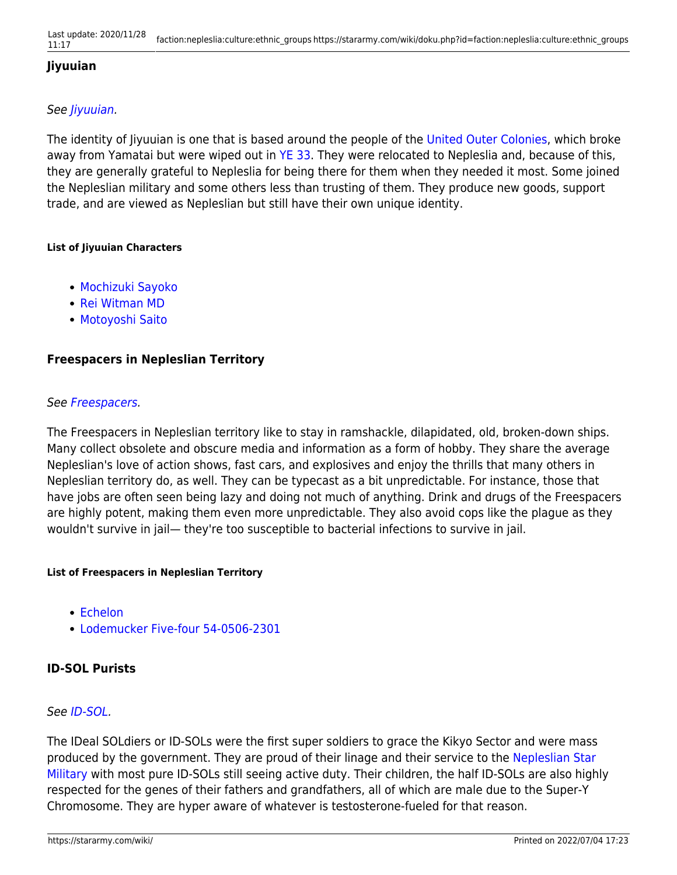#### **Jiyuuian**

#### See [Jiyuuian](https://stararmy.com/wiki/doku.php?id=faction:united_outer_colonies:culture:jiyuuian).

The identity of Jiyuuian is one that is based around the people of the [United Outer Colonies](https://stararmy.com/wiki/doku.php?id=faction:united_outer_colonies), which broke away from Yamatai but were wiped out in [YE 33](https://stararmy.com/wiki/doku.php?id=timeline:ye_33). They were relocated to Nepleslia and, because of this, they are generally grateful to Nepleslia for being there for them when they needed it most. Some joined the Nepleslian military and some others less than trusting of them. They produce new goods, support trade, and are viewed as Nepleslian but still have their own unique identity.

#### **List of Jiyuuian Characters**

- [Mochizuki Sayoko](https://stararmy.com/wiki/doku.php?id=character:mochizuki_sayoko)
- [Rei Witman MD](https://stararmy.com/wiki/doku.php?id=character:rei_witman_md)
- [Motoyoshi Saito](https://stararmy.com/wiki/doku.php?id=character:motoyoshi_saito)

#### **Freespacers in Nepleslian Territory**

#### See [Freespacers](https://stararmy.com/wiki/doku.php?id=species:freespacers).

The Freespacers in Nepleslian territory like to stay in ramshackle, dilapidated, old, broken-down ships. Many collect obsolete and obscure media and information as a form of hobby. They share the average Nepleslian's love of action shows, fast cars, and explosives and enjoy the thrills that many others in Nepleslian territory do, as well. They can be typecast as a bit unpredictable. For instance, those that have jobs are often seen being lazy and doing not much of anything. Drink and drugs of the Freespacers are highly potent, making them even more unpredictable. They also avoid cops like the plague as they wouldn't survive in jail— they're too susceptible to bacterial infections to survive in jail.

#### **List of Freespacers in Nepleslian Territory**

- [Echelon](https://stararmy.com/wiki/doku.php?id=plot:isc_phoenix:npc_list#echelon)
- [Lodemucker Five-four 54-0506-2301](https://stararmy.com/wiki/doku.php?id=character:lodemucker_five-four_54-0506-2301)

#### **ID-SOL Purists**

#### See [ID-SOL.](https://stararmy.com/wiki/doku.php?id=species:id-sol)

The IDeal SOLdiers or ID-SOLs were the first super soldiers to grace the Kikyo Sector and were mass produced by the government. They are proud of their linage and their service to the [Nepleslian Star](https://stararmy.com/wiki/doku.php?id=faction:nepleslia:military) [Military](https://stararmy.com/wiki/doku.php?id=faction:nepleslia:military) with most pure ID-SOLs still seeing active duty. Their children, the half ID-SOLs are also highly respected for the genes of their fathers and grandfathers, all of which are male due to the Super-Y Chromosome. They are hyper aware of whatever is testosterone-fueled for that reason.